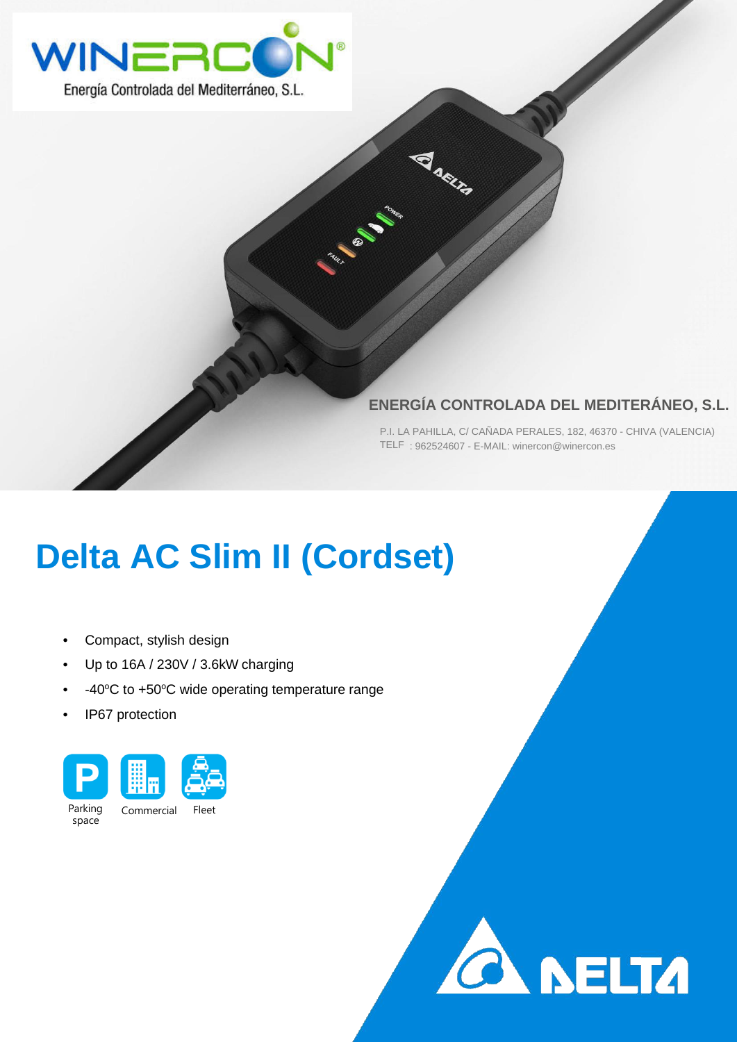

## **ENERGÍA CONTROLADA DEL MEDITERÁNEO, S.L.**

**ANRIA** 

**CALL BASE** 

P.I. LA PAHILLA, C/ CAÑADA PERALES, 182, 46370 - CHIVA (VALENCIA) TELF : 962524607 - E-MAIL: winercon@winercon.es

## **Delta AC Slim II (Cordset)**

- Compact, stylish design
- Up to 16A / 230V / 3.6kW charging
- $\cdot$  -40°C to +50°C wide operating temperature range
- IP67 protection